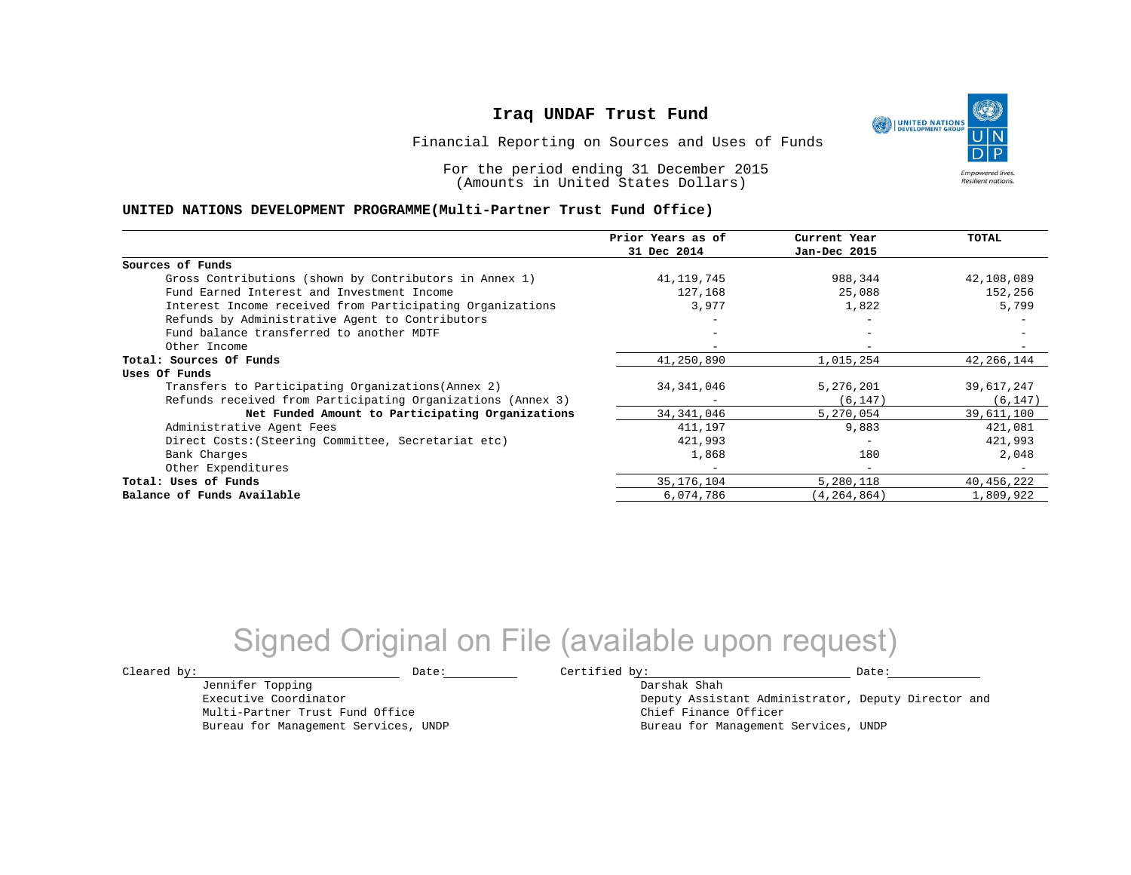UNITED NATIONS **Empowered lives Resilient nations.** 

Financial Reporting on Sources and Uses of Funds

For the period ending 31 December 2015 (Amounts in United States Dollars)

#### **UNITED NATIONS DEVELOPMENT PROGRAMME(Multi-Partner Trust Fund Office)**

|                                                             | Prior Years as of | Current Year             | TOTAL      |
|-------------------------------------------------------------|-------------------|--------------------------|------------|
|                                                             | 31 Dec 2014       | Jan-Dec 2015             |            |
| Sources of Funds                                            |                   |                          |            |
| Gross Contributions (shown by Contributors in Annex 1)      | 41,119,745        | 988,344                  | 42,108,089 |
| Fund Earned Interest and Investment Income                  | 127,168           | 25,088                   | 152,256    |
| Interest Income received from Participating Organizations   | 3,977             | 1,822                    | 5,799      |
| Refunds by Administrative Agent to Contributors             |                   | $\overline{\phantom{m}}$ |            |
| Fund balance transferred to another MDTF                    |                   |                          |            |
| Other Income                                                |                   |                          |            |
| Total: Sources Of Funds                                     | 41,250,890        | 1,015,254                | 42,266,144 |
| Uses Of Funds                                               |                   |                          |            |
| Transfers to Participating Organizations (Annex 2)          | 34, 341, 046      | 5,276,201                | 39,617,247 |
| Refunds received from Participating Organizations (Annex 3) |                   | (6, 147)                 | (6, 147)   |
| Net Funded Amount to Participating Organizations            | 34, 341, 046      | 5,270,054                | 39,611,100 |
| Administrative Agent Fees                                   | 411,197           | 9,883                    | 421,081    |
| Direct Costs: (Steering Committee, Secretariat etc)         | 421,993           |                          | 421,993    |
| Bank Charges                                                | 1,868             | 180                      | 2,048      |
| Other Expenditures                                          |                   | $\overline{\phantom{0}}$ |            |
| Total: Uses of Funds                                        | 35, 176, 104      | 5,280,118                | 40,456,222 |
| Balance of Funds Available                                  | 6,074,786         | (4, 264, 864)            | 1,809,922  |

## Signed Original on File (available upon request)

Jennifer Topping Executive Coordinator

Multi-Partner Trust Fund Office Bureau for Management Services, UNDP

 $\texttt{Cleared by:}\footnotesize \begin{minipage}{14pt} \begin{tabular}{p{0.87\textwidth}p{0.87\textwidth}} \centering \end{tabular} \end{minipage}$ 

Darshak Shah Deputy Assistant Administrator, Deputy Director and Chief Finance Officer Bureau for Management Services, UNDP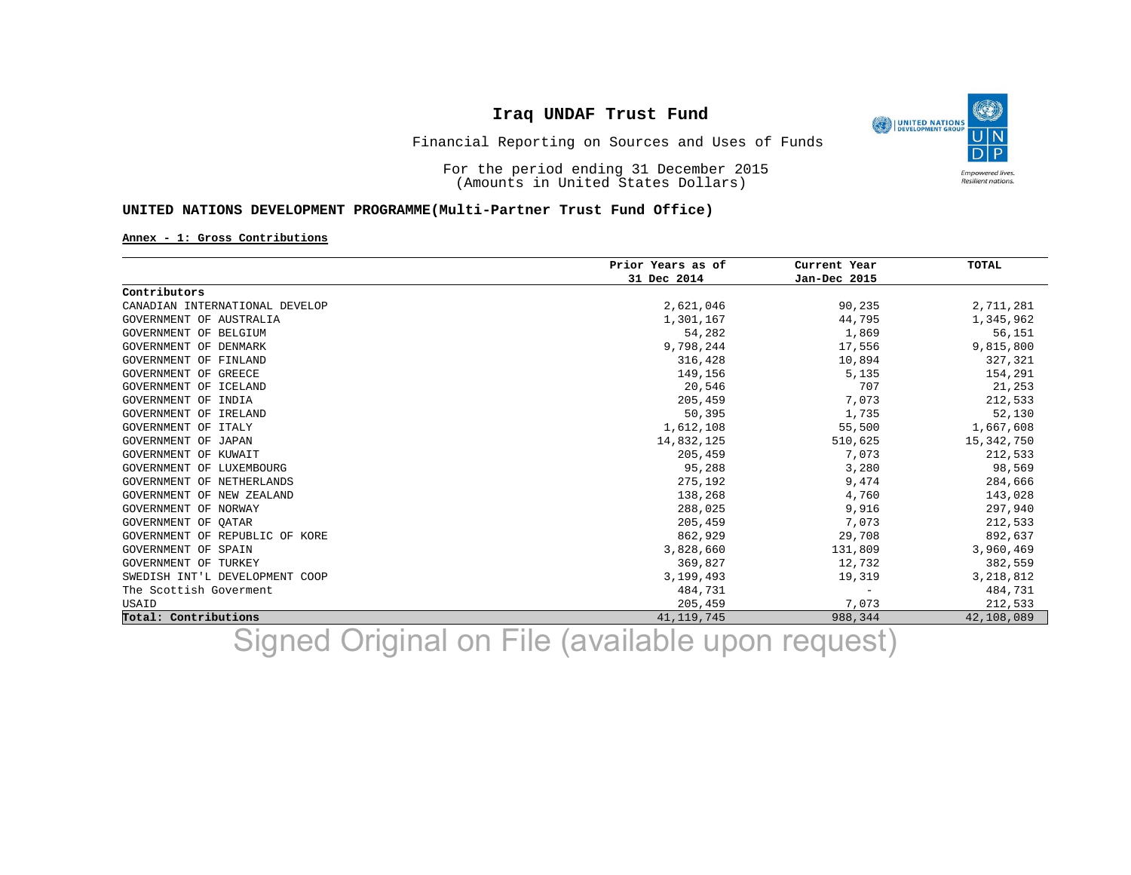O UNITED NATIONS **Empowered lives** Resilient nations.

Financial Reporting on Sources and Uses of Funds

For the period ending 31 December 2015 (Amounts in United States Dollars)

### **UNITED NATIONS DEVELOPMENT PROGRAMME(Multi-Partner Trust Fund Office)**

#### **Annex - 1: Gross Contributions**

|                                | Prior Years as of | Current Year             | <b>TOTAL</b> |
|--------------------------------|-------------------|--------------------------|--------------|
|                                | 31 Dec 2014       | Jan-Dec 2015             |              |
| Contributors                   |                   |                          |              |
| CANADIAN INTERNATIONAL DEVELOP | 2,621,046         | 90,235                   | 2,711,281    |
| GOVERNMENT OF AUSTRALIA        | 1,301,167         | 44,795                   | 1,345,962    |
| GOVERNMENT OF BELGIUM          | 54,282            | 1,869                    | 56,151       |
| GOVERNMENT OF DENMARK          | 9,798,244         | 17,556                   | 9,815,800    |
| GOVERNMENT OF FINLAND          | 316,428           | 10,894                   | 327,321      |
| GOVERNMENT OF GREECE           | 149,156           | 5,135                    | 154,291      |
| GOVERNMENT OF ICELAND          | 20,546            | 707                      | 21,253       |
| GOVERNMENT OF INDIA            | 205,459           | 7,073                    | 212,533      |
| GOVERNMENT OF IRELAND          | 50,395            | 1,735                    | 52,130       |
| GOVERNMENT OF ITALY            | 1,612,108         | 55,500                   | 1,667,608    |
| GOVERNMENT OF JAPAN            | 14,832,125        | 510,625                  | 15, 342, 750 |
| GOVERNMENT OF KUWAIT           | 205,459           | 7,073                    | 212,533      |
| GOVERNMENT OF LUXEMBOURG       | 95,288            | 3,280                    | 98,569       |
| GOVERNMENT OF NETHERLANDS      | 275,192           | 9,474                    | 284,666      |
| GOVERNMENT OF NEW ZEALAND      | 138,268           | 4,760                    | 143,028      |
| GOVERNMENT OF NORWAY           | 288,025           | 9,916                    | 297,940      |
| GOVERNMENT OF OATAR            | 205,459           | 7,073                    | 212,533      |
| GOVERNMENT OF REPUBLIC OF KORE | 862,929           | 29,708                   | 892,637      |
| GOVERNMENT OF SPAIN            | 3,828,660         | 131,809                  | 3,960,469    |
| GOVERNMENT OF TURKEY           | 369,827           | 12,732                   | 382,559      |
| SWEDISH INT'L DEVELOPMENT COOP | 3,199,493         | 19,319                   | 3,218,812    |
| The Scottish Goverment         | 484,731           | $\overline{\phantom{m}}$ | 484,731      |
| USAID                          | 205,459           | 7,073                    | 212,533      |
| Total: Contributions           | 41, 119, 745      | 988,344                  | 42,108,089   |

Signed Original on File (available upon request)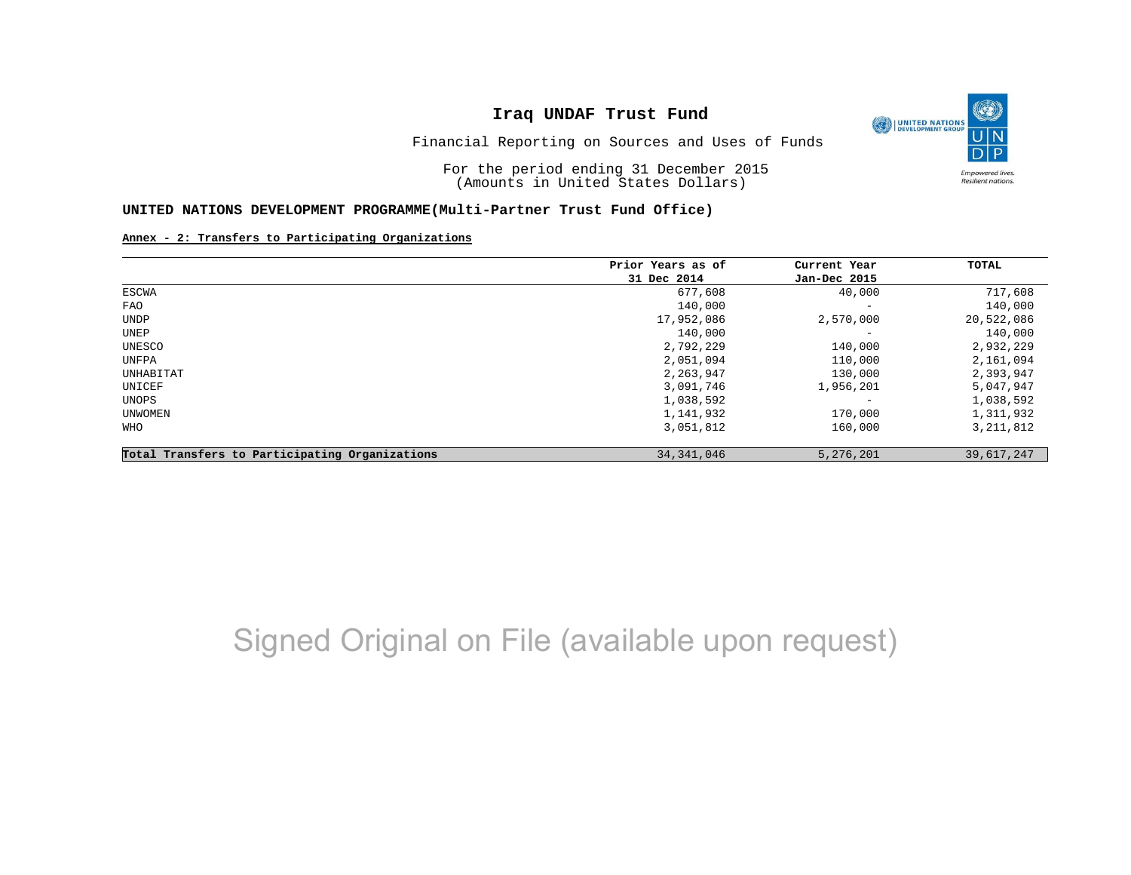O UNITED NATIONS **Empowered lives** Resilient nations.

Financial Reporting on Sources and Uses of Funds

For the period ending 31 December 2015 (Amounts in United States Dollars)

#### **UNITED NATIONS DEVELOPMENT PROGRAMME(Multi-Partner Trust Fund Office)**

#### **Annex - 2: Transfers to Participating Organizations**

|                                                | Prior Years as of | Current Year<br>Jan-Dec 2015 | TOTAL       |
|------------------------------------------------|-------------------|------------------------------|-------------|
|                                                | 31 Dec 2014       |                              |             |
| ESCWA                                          | 677,608           | 40,000                       | 717,608     |
| FAO                                            | 140,000           | $\overline{\phantom{a}}$     | 140,000     |
| UNDP                                           | 17,952,086        | 2,570,000                    | 20,522,086  |
| UNEP                                           | 140,000           | $\qquad \qquad -$            | 140,000     |
| UNESCO                                         | 2,792,229         | 140,000                      | 2,932,229   |
| UNFPA                                          | 2,051,094         | 110,000                      | 2,161,094   |
| UNHABITAT                                      | 2,263,947         | 130,000                      | 2,393,947   |
| UNICEF                                         | 3,091,746         | 1,956,201                    | 5,047,947   |
| UNOPS                                          | 1,038,592         | $\overline{\phantom{m}}$     | 1,038,592   |
| UNWOMEN                                        | 1,141,932         | 170,000                      | 1,311,932   |
| WHO                                            | 3,051,812         | 160,000                      | 3, 211, 812 |
| Total Transfers to Participating Organizations | 34, 341, 046      | 5,276,201                    | 39,617,247  |

# Signed Original on File (available upon request)